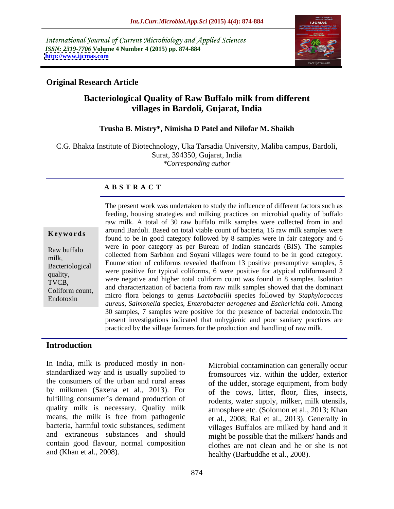International Journal of Current Microbiology and Applied Sciences *ISSN: 2319-7706* **Volume 4 Number 4 (2015) pp. 874-884 <http://www.ijcmas.com>**



### **Original Research Article**

# **Bacteriological Quality of Raw Buffalo milk from different villages in Bardoli, Gujarat, India**

### **Trusha B. Mistry\*, Nimisha D Patel and Nilofar M. Shaikh**

C.G. Bhakta Institute of Biotechnology, Uka Tarsadia University, Maliba campus, Bardoli, Surat, 394350, Gujarat, India *\*Corresponding author*

### **A B S T R A C T**

Endotoxin

The present work was undertaken to study the influence of different factors such as feeding, housing strategies and milking practices on microbial quality of buffalo raw milk. A total of 30 raw buffalo milk samples were collected from in and around Bardoli. Based on total viable count of bacteria, 16 raw milk samples were **Keywords** abound bailon. Based on total viable count of bacteria, to faw think samples were found to be in good category followed by 8 samples were in fair category and 6 were in poor category as per Bureau of Indian standards (BIS). The samples Raw buffalo<br>milk collected from Sarbhon and Soyani villages were found to be in good category. milk,<br>
Enumeration of coliforms revealed that from 13 positive presumptive samples, 5 Bacteriological<br>were positive for typical coliforms, 6 were positive for atypical coliformsand 2 quality,<br>
were positive in typical collidering were positive in any pical collidiation<br>
TVCB and characterization of bacteria from raw milk samples showed that the dominant micro flora belongs to genus *Lactobacilli* species followed by *Staphylococcus*  Coliform count, *aureus, Salmonella* species, *Enterobacter aerogenes* and *Escherichia coli*. Among 30 samples, 7 samples were positive for the presence of bacterial endotoxin.The present investigations indicated that unhygienic and poor sanitary practices are practiced by the village farmers for the production and handling of raw milk. TVCB, were negative and inglier total comform count was found in 8 samples. Isolation

### **Introduction**

In India, milk is produced mostly in non standardized way and is usually supplied to the consumers of the urban and rural areas by milkmen (Saxena et al., 2013). For fulfilling consumer's demand production of quality milk is necessary. Quality milk means, the milk is free from pathogenic bacteria, harmful toxic substances, sediment villages Buffalos are milked by hand and it and extraneous substances and should might be possible that the milkers' hands and contain good flavour, normal composition

and (Khan et al., 2008). healthy (Barbuddhe et al., 2008). Microbial contamination can generally occur fromsources viz. within the udder, exterior of the udder, storage equipment, from body of the cows, litter, floor, flies, insects, rodents, water supply, milker, milk utensils, atmosphere etc. (Solomon et al., 2013; Khan et al., 2008; Rai et al., 2013). Generally in clothes are not clean and he or she is not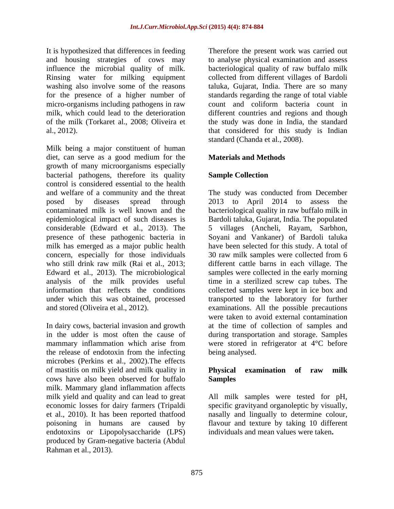It is hypothesized that differences in feeding Therefore the present work was carried out Rinsing water for milking equipment for the presence of a higher number of

Milk being a major constituent of human diet, can serve as a good medium for the **Materials and Methods** growth of many microorganisms especially bacterial pathogens, therefore its quality **Sample Collection** control is considered essential to the health and welfare of a community and the threat The study was conducted from December posed by diseases spread through 2013 to April 2014 to assess the contaminated milk is well known and the bacteriological quality in raw buffalo milk in epidemiological impact of such diseases is Bardoli taluka, Gujarat, India. The populated considerable (Edward et al., 2013). The 5 villages (Ancheli, Rayam, Sarbhon, presence of these pathogenic bacteria in Soyani and Vankaner) of Bardoli taluka milk has emerged as a major public health concern, especially for those individuals 30 raw milk samples were collected from 6 who still drink raw milk (Rai et al., 2013; different cattle barns in each village. The Edward et al., 2013). The microbiological samples were collected in the early morning analysis of the milk provides useful time in a sterilized screw cap tubes. The information that reflects the conditions collected samples were kept in ice box and under which this was obtained, processed transported to the laboratory for further It is typothesized that differences in feeding Theoretic the present work was carried out the matter of the size of the size of the present work was carried out in the size of the basis of the size of the size of the size

the release of endotoxin from the infecting microbes (Perkins et al., 2002).The effects of mastitis on milk yield and milk quality in **Physical examination of raw milk** cows have also been observed for buffalo milk. Mammary gland inflammation affects milk yield and quality and can lead to great All milk samples were tested for pH, economic losses for dairy farmers (Tripaldi specific gravityand organoleptic by visually, et al., 2010). It has been reported thatfood nasally and lingually to determine colour, poisoning in humans are caused by flavour and texture by taking 10 different endotoxins or Lipopolysaccharide (LPS) produced by Gram-negative bacteria (Abdul Rahman et al., 2013).

and housing strategies of cows may to analyse physical examination and assess influence the microbial quality of milk. bacteriological quality of raw buffalo milk washing also involve some of the reasons taluka, Gujarat, India. There are so many micro-organisms including pathogens in raw count and coliform bacteria count in milk, which could lead to the deterioration different countries and regions and though of the milk (Torkaret al., 2008; Oliveira et the study was done in India, the standard al., 2012). that considered for this study is Indian collected from different villages of Bardoli standards regarding the range of total viable standard (Chanda et al., 2008).

### **Materials and Methods**

### **Sample Collection**

and stored (Oliveira et al., 2012). examinations. All the possible precautions In dairy cows, bacterial invasion and growth at the time of collection of samples and in the udder is most often the cause of during transportation and storage. Samples mammary inflammation which arise from were stored in refrigerator at 4<sup>o</sup>C before have been selected for this study. A total of were taken to avoid external contamination being analysed.

### **Physical examination of raw milk Samples**

individuals and mean values were taken**.**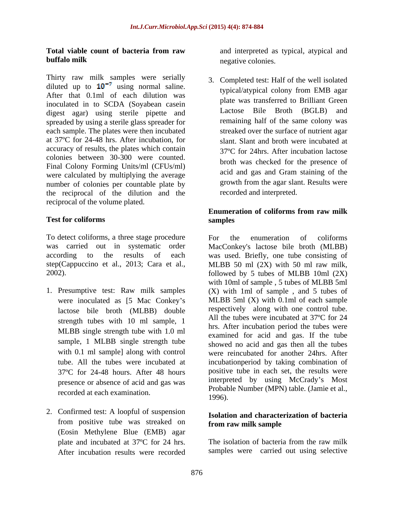### **Total viable count of bacteria from raw buffalo milk** negative colonies.

Thirty raw milk samples were serially diluted up to  $10^{-7}$  using normal saline. After that 0.1ml of each dilution was inoculated in to SCDA (Soyabean casein and the was unusieried to bituid order the direct control of the direct to bituit order that the direct control of the direct control of the direct control of the Broth (BGLB) and digest agar) using sterile pipette and spreaded by using a sterile glass spreader for each sample. The plates were then incubated at 37ºC for 24-48 hrs. After incubation, for accuracy of results, the plates which contain colonies between 30-300 were counted. Final Colony Forming Units/ml (CFUs/ml) were calculated by multiplying the average number of colonies per countable plate by the reciprocal of the dilution and the reciprocal of the volume plated.

To detect coliforms, a three stage procedure To the enumeration of coliforms

- lactose bile broth (MLBB) double strength tubes with 10 ml sample, 1 MLBB single strength tube with 1.0 ml sample, 1 MLBB single strength tube presence or absence of acid and gas was recorded at each examination. Probability 1996).
- 2. Confirmed test: A loopful of suspension from positive tube was streaked on **from raw milk sample** (Eosin Methylene Blue (EMB) agar After incubation results were recorded

and interpreted as typical, atypical and negative colonies.

3. Completed test: Half of the well isolated typical/atypical colony from EMB agar plate was transferred to Brilliant Green Lactose Bile Broth  $(BGLB)$ remaining half of the same colony was streaked over the surface of nutrient agar slant. Slant and broth were incubated at 37ºC for 24hrs. After incubation lactose broth was checked for the presence of acid and gas and Gram staining of the growth from the agar slant. Results were recorded and interpreted.

#### **Test for coliforms Enumeration of coliforms from raw milk samples**

was carried out in systematic order MacConkey's lactose bile broth (MLBB) according to the results of each was used. Briefly, one tube consisting of step(Cappuccino et al., 2013; Cara et al., MLBB 50 ml (2X) with 50 ml raw milk, 2002). followed by 5 tubes of MLBB 10ml (2X) 1. Presumptive test: Raw milk samples (X) with 1ml of sample , and 5 tubes of were inoculated as [5 Mac Conkey's MLBB 5ml (X) with 0.1ml of each sample with 0.1 ml sample] along with control were reincubated for another 24hrs. After tube. All the tubes were incubated at incubationperiod by taking combination of 37ºC for 24-48 hours. After 48 hours positive tube in each set, the results were For the enumeration of coliforms with 10ml of sample, 5 tubes of MLBB 5ml respectively along with one control tube. All the tubes were incubated at 37ºC for 24 hrs. After incubation period the tubes were examined for acid and gas. If the tube showed no acid and gas then all the tubes interpreted by using McCrady's Most Probable Number (MPN) table. (Jamie et al., 1996).

### **Isolation and characterization of bacteria from raw milk sample**

plate and incubated at 37ºC for 24 hrs. The isolation of bacteria from the raw milk samples were carried out using selective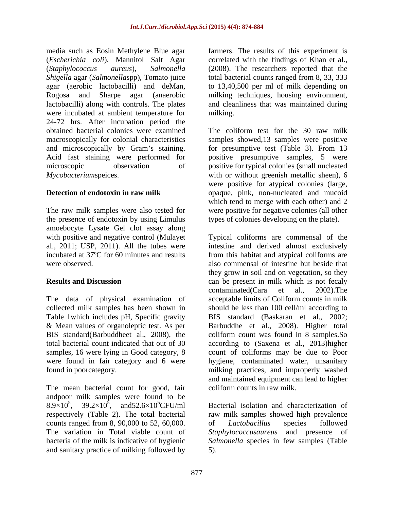media such as Eosin Methylene Blue agar farmers. The results of this experiment is (*Escherichia coli*), Mannitol Salt Agar correlated with the findings of Khan et al., (*Staphylococcus aureus*), *Salmonella*  (2008). The researchers reported that the *Shigella* agar (*Salmonella*spp), Tomato juice agar (aerobic lactobacilli) and deMan, to 13,40,500 per ml of milk depending on Rogosa and Sharpe agar (anaerobic milking techniques, housing environment, lactobacilli) along with controls. The plates and cleanliness that was maintained during were incubated at ambient temperature for milking. 24-72 hrs. After incubation period the obtained bacterial colonies were examined The coliform test for the 30 raw milk macroscopically for colonial characteristics and microscopically by Gram's staining. for presumptive test (Table 3). From 13 Acid fast staining were performed for positive presumptive samples, 5 were microscopic observation of positive for typical colonies (small nucleated *Mycobacteriumspeices.* with or without greenish metallic sheen), 6

the presence of endotoxin by using Limulus amoebocyte Lysate Gel clot assay along

The data of physical examination of samples, 16 were lying in Good category, 8 were found in fair category and 6 were

The mean bacterial count for good, fair andpoor milk samples were found to be 8.9×10<sup>5</sup>, 39.2×10<sup>5</sup>, and 52.6×10<sup>5</sup>CFU/ml counts ranged from 8, 90,000 to 52, 60,000. of Lactobacillus species followed and sanitary practice of milking followed by

total bacterial counts ranged from 8, 33, 333 milking.

**Detection of endotoxin in raw milk** opaque, pink, non-nucleated and mucoid The raw milk samples were also tested for were positive for negative colonies (all other samples showed,13 samples were positive were positive for atypical colonies (large, which tend to merge with each other) and 2 types of colonies developing on the plate).

with positive and negative control (Mulayet Typical coliforms are commensal of the al., 2011; USP, 2011). All the tubes were intestine and derived almost exclusively incubated at 37ºC for 60 minutes and results from this habitat and atypical coliforms are were observed. also commensal of intestine but beside that **Results and Discussion can be present in milk which is not fecaly** collected milk samples has been shown in should be less than 100 cell/ml according to Table 1which includes pH, Specific gravity BIS standard (Baskaran et al., 2002; & Mean values of organoleptic test. As per Barbuddhe et al., 2008). Higher total BIS standard(Barbuddheet al., 2008), the coliform count was found in 8 samples.So total bacterial count indicated that out of 30 according to (Saxena et al., 2013)higher found in poorcategory. milking practices, and improperly washed they grow in soil and on vegetation, so they contaminated**(**Cara et al., 2002).The acceptable limits of Coliform counts in milk count of coliforms may be due to Poor hygiene, contaminated water, unsanitary and maintained equipment can lead to higher coliform counts in raw milk.

,  $39.2 \times 10^5$ , and  $52.6 \times 10^5$ CFU/ml Bacterial isolation and characterization of respectively (Table 2). The total bacterial raw milk samples showed high prevalence The variation in Total viable count of *Staphylococcusaureus* and presence of bacteria of the milk is indicative of hygienic *Salmonella* species in few samples (Table of *Lactobacillus* species followed 5).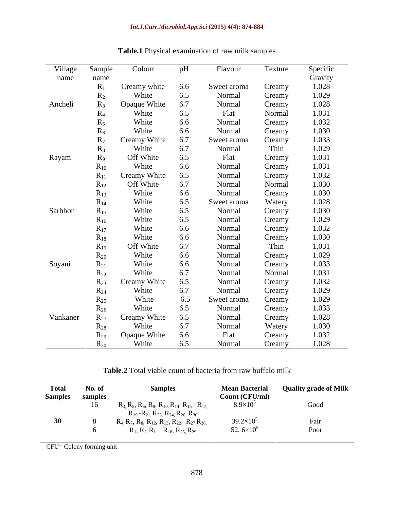| Village  | Sample                    | Colour       | pH  | Flavour     | Texture | Specific |
|----------|---------------------------|--------------|-----|-------------|---------|----------|
| name     | name                      |              |     |             |         | Gravity  |
|          | $R_1$                     | Creamy white | 6.6 | Sweet aroma | Creamy  | 1.028    |
|          | $R_2$                     | White        | 6.5 | Normal      | Creamy  | 1.029    |
| Ancheli  | $R_3$                     | Opaque White | 6.7 | Normal      | Creamy  | 1.028    |
|          | $R_4$                     | White        | 6.5 | Flat        | Normal  | 1.031    |
|          | $\mathbf{R}_{\mathbf{S}}$ | White        | 6.6 | Normal      | Creamy  | 1.032    |
|          | $R_6$                     | White        | 6.6 | Normal      | Creamy  | 1.030    |
|          | $R_7$                     | Creamy White | 6.7 | Sweet aroma | Creamy  | 1.033    |
|          | $R_8$                     | White        | 6.7 | Normal      | Thin    | 1.029    |
| Rayam    | $R_9$                     | Off White    | 6.5 | Flat        | Creamy  | 1.031    |
|          | $R_{10}$                  | White        | 6.6 | Normal      | Creamy  | 1.031    |
|          | $R_{11}$                  | Creamy White | 6.5 | Normal      | Creamy  | 1.032    |
|          | $R_{12}$                  | Off White    | 6.7 | Normal      | Normal  | 1.030    |
|          | $R_{13}$                  | White        | 6.6 | Normal      | Creamy  | 1.030    |
|          | $R_{14}$                  | White        | 6.5 | Sweet aroma | Watery  | 1.028    |
| Sarbhon  | $R_{15}$                  | White        | 6.5 | Normal      | Creamy  | 1.030    |
|          | $R_{16}$                  | White        | 6.5 | Normal      | Creamy  | 1.029    |
|          | $R_{17}$                  | White        | 6.6 | Normal      | Creamy  | 1.032    |
|          | $R_{18}$                  | White        | 6.6 | Normal      | Creamy  | 1.030    |
|          | $R_{19}$                  | Off White    | 6.7 | Normal      | Thin    | 1.031    |
|          | $R_{20}$                  | White        | 6.6 | Normal      | Creamy  | 1.029    |
| Soyani   | $R_{21}$                  | White        | 6.6 | Normal      | Creamy  | 1.033    |
|          | $R_{22}$                  | White        | 6.7 | Normal      | Normal  | 1.031    |
|          | $R_{23}$                  | Creamy White | 6.5 | Normal      | Creamy  | 1.032    |
|          | $R_{24}$                  | White        | 6.7 | Normal      | Creamy  | 1.029    |
|          | $R_{25}$                  | White        | 6.5 | Sweet aroma | Creamy  | 1.029    |
|          | $R_{26}$                  | White        | 6.5 | Normal      | Creamy  | 1.033    |
| Vankaner | $R_{27}$                  | Creamy White | 6.5 | Normal      | Creamy  | 1.028    |
|          | $R_{28}$                  | White        | 6.7 | Normal      | Watery  | 1.030    |
|          |                           | Opaque White | 6.6 | Flat        | Creamy  | 1.032    |
|          | $R_{30}$                  | White        | 6.5 | Normal      | Creamy  | 1.028    |

# **Table.1** Physical examination of raw milk samples

**Table.2** Total viable count of bacteria from raw buffalo milk

| <b>Total</b>   | No. of  | <b>Samples</b>                                                             | <b>Mean Bacterial</b>         | <b>Quality grade of Milk</b> |
|----------------|---------|----------------------------------------------------------------------------|-------------------------------|------------------------------|
| <b>Samples</b> | samples |                                                                            | Count (CFU/ml)                |                              |
|                |         | $R_3$ , $R_5$ , $R_6$ , $R_9$ , $R_{10}$ , $R_{14}$ , $R_{15}$ - $R_{17}$  | $8.9\times10^{5}$             | Good                         |
|                |         | $R_{19}$ - $R_{21}$ , $R_{23}$ , $R_{24}$ , $R_{26}$ , $R_{30}$            |                               |                              |
|                |         | $R_4$ , $R_7$ , $R_8$ , $R_{12}$ , $R_{13}$ , $R_{22}$ , $R_{27}$ $R_{28}$ | $39.2\times10^{5}$            | rair                         |
|                |         | $R_1, R_2, R_{11}, R_{18}, R_{25}, R_{29}$                                 | 52.6 $\times$ 10 <sup>5</sup> | Poor                         |

CFU= Colony forming unit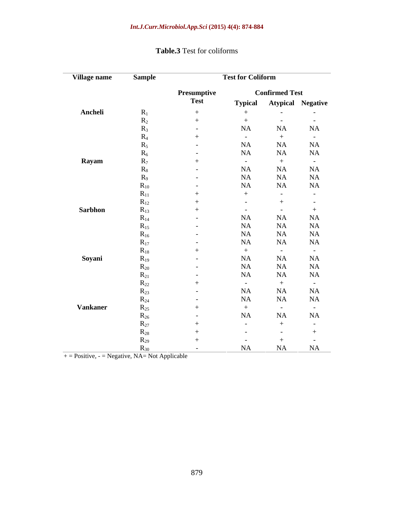| Village name    | <b>Sample</b>     |                   | <b>Test for Coliform</b> |                       | $\overline{\phantom{a}}$ |
|-----------------|-------------------|-------------------|--------------------------|-----------------------|--------------------------|
|                 |                   | Presumptive       |                          | <b>Confirmed Test</b> |                          |
|                 |                   | <b>Test</b>       | <b>Typical</b>           |                       | <b>Atypical Negative</b> |
| Ancheli         | $R_1$             | $+$               | $+$                      | $\sim$                | $\sim$ $-$               |
|                 | $R_2$             |                   | $+$                      | $\sim$                | $\sim$ $-$               |
|                 |                   | $\sim$ $-$        | NA                       | NA                    | NA                       |
|                 |                   | $+$               | $\sim$                   | $+$                   | $\sim$ $-$               |
|                 |                   | $\sim$ 100 $\sim$ | NA                       | NA                    | NA                       |
|                 |                   | $\sim$ 100 $\sim$ | NA                       | NA                    | NA                       |
| Rayam           |                   |                   | $\sim$ 100 $\sim$        | $+$                   | $\sim$ $-$               |
|                 | $R_8$             | $\sim$ $-$        | NA                       | NA                    | NA                       |
|                 |                   | $\sim$ $-$        | NA                       | NA                    | NA                       |
|                 | $\mathbf{R}_{10}$ | $\sim$ $-$        | NA                       | NA                    | $\rm NA$                 |
|                 | $\mathbf{R}_{11}$ |                   | $+$                      | $\sim$                | $\sim$ $-$               |
|                 | $R_{12}$          | $+$               | $\sim$                   |                       | $\sim$                   |
| <b>Sarbhon</b>  | $R_{13}$          |                   | $\sim$                   | $\sim$                |                          |
|                 | $R_{14}$          | $\sim$ $-$        | NA                       | NA                    | NA                       |
|                 | $K_{15}$          | $\sim$ $-$        | NA                       | NA                    | NA                       |
|                 | $\mathbf{R}_{16}$ | $\sim$ 100 $\sim$ | NA                       | NA                    | $\rm NA$                 |
|                 | $R_{17}$          | $\sim$ $-$        | NA                       | NA                    | $\rm NA$                 |
|                 | $R_{18}$          |                   | $+$                      | $\sim$                | $\sim 100$               |
| Soyani          | $R_{19}$          | $\sim$            | NA                       | NA                    | NA                       |
|                 | $R_{20}$          | $\sim$ $-$        | NA                       | NA                    | NA                       |
|                 | $\mathbf{K}_{21}$ | $\sim$ $-$        | NA                       | NA                    | NA                       |
|                 | $\mathbf{K}_{22}$ | $+$               | $\sim 100$               | $+$                   | $\sim$ 100 $\sim$        |
|                 | $R_{23}$          | $\sim$ $-$        | NA                       | NA                    | NA                       |
|                 | $R_{24}$          | $\sim$ 100 $\sim$ | NA                       | NA                    | NA                       |
| <b>Vankaner</b> | $R_{25}$          |                   | $+$                      | $\sim$                | $\sim$ $-$               |
|                 | $R_{26}$          | $\sim$ $-$        | NA                       | NA                    | $\rm NA$                 |
|                 |                   |                   | $\sim$                   |                       |                          |
|                 | $\mathbf{N}$ 28   |                   | $\sim$                   |                       |                          |
|                 | $R_{29}$          |                   |                          |                       |                          |
|                 |                   | $\sim$ $-$        | NA                       | NA                    | <b>NA</b>                |

## **Table.3** Test for coliforms

 $+$  = Positive, - = Negative, NA= Not Applicable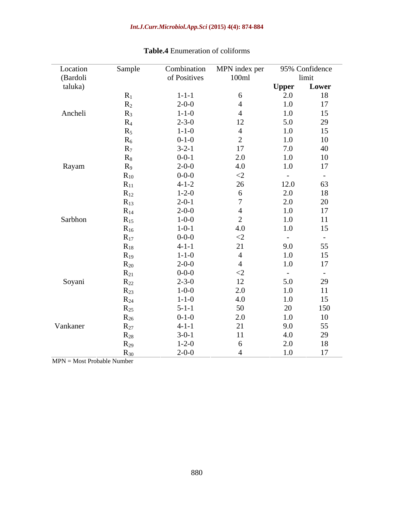| Location | Sample    | Combination  | MPN index per             |                       | 95% Confidence |
|----------|-----------|--------------|---------------------------|-----------------------|----------------|
| (Bardoli |           | of Positives | 100ml                     |                       | limit          |
| taluka)  |           |              |                           | <b>Upper</b>          | Lower          |
|          | $R_1$     | $1 - 1 - 1$  | 6                         | 2.0                   | 18             |
|          | $R_2$     | $2 - 0 - 0$  | $\overline{4}$            | $1.0\,$               | 17             |
| Ancheli  | $R_3$     | $1 - 1 - 0$  | $\overline{4}$            | $1.0\,$               | 15             |
|          | $R_4$     | $2 - 3 - 0$  | 12                        | 5.0                   | 29             |
|          | $R_5$     | $1 - 1 - 0$  | $\overline{4}$            | $1.0\,$               | 15             |
|          | $R_6$     | $0 - 1 - 0$  | 2                         | 1.0                   | 10             |
|          | $\rm R_7$ | $3-2-1$      | 17                        | 7.0                   | 40             |
|          | $R_8$     | $0 - 0 - 1$  | 2.0                       | $1.0\,$               | 10             |
| Rayam    | $R_9$     | $2 - 0 - 0$  | 4.0                       | $1.0\,$               | 17             |
|          | $R_{10}$  | $0 - 0 - 0$  | $\langle 2 \rangle$       | $\sim$ $-$            | $\overline{a}$ |
|          | $R_{11}$  | $4 - 1 - 2$  | 26                        | 12.0                  | 63             |
|          | $R_{12}$  | $1 - 2 - 0$  | 6                         | 2.0                   | 18             |
|          | $R_{13}$  | $2 - 0 - 1$  | $\overline{ }$            | 2.0                   | 20             |
|          | $R_{14}$  | $2 - 0 - 0$  | $\overline{4}$            | $1.0\,$               | 17             |
| Sarbhon  | $R_{15}$  | $1 - 0 - 0$  | 2                         | $1.0\,$               | 11             |
|          | $R_{16}$  | $1 - 0 - 1$  | 4.0                       | $1.0\,$               | 15             |
|          | $R_{17}$  | $0 - 0 - 0$  | $\langle 2 \rangle$       | $\sim$ $ \sim$        | $\sim$         |
|          | $R_{18}$  | $4-1-1$      | 21                        | 9.0                   | 55             |
|          | $R_{19}$  | $1 - 1 - 0$  | $\overline{4}$            | $1.0\,$               | 15             |
|          |           | $2 - 0 - 0$  | $\overline{4}$            | $1.0\,$               | 17             |
|          | $R_{20}$  | $0 - 0 - 0$  |                           |                       |                |
|          | $R_{21}$  | $2 - 3 - 0$  | $\langle 2 \rangle$<br>12 | $\sim$ $ \sim$<br>5.0 | $\sim$<br>29   |
| Soyani   | $R_{22}$  | $1 - 0 - 0$  | 2.0                       | 1.0                   | 11             |
|          | $R_{23}$  |              |                           |                       |                |
|          | $R_{24}$  | $1 - 1 - 0$  | 4.0                       | $1.0\,$               | 15             |
|          | $R_{25}$  | $5 - 1 - 1$  | 50                        | $20\,$                | 150            |
|          | $R_{26}$  | $0 - 1 - 0$  | 2.0                       | $1.0\,$               | 10             |
| Vankaner | $R_{27}$  | $4 - 1 - 1$  | 21                        | 9.0                   | 55             |
|          | $R_{28}$  | $3-0-1$      | 11                        | 4.0                   | 29             |
|          | $R_{29}$  | $1 - 2 - 0$  | 6                         | 2.0                   | 18             |
|          | $R_{30}$  | $2 - 0 - 0$  |                           | 1.0                   | 17             |

## **Table.4** Enumeration of coliforms

 $\overline{MPN}$  = Most Probable Number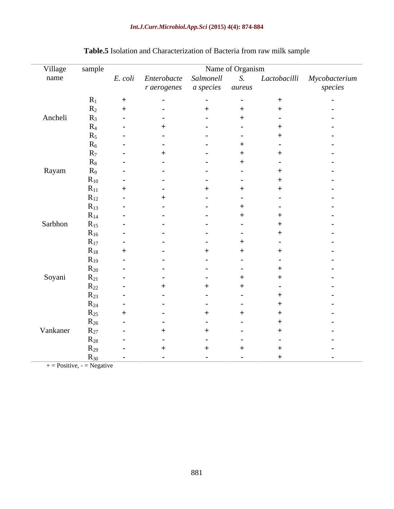#### *Int.J.Curr.Microbiol.App.Sci* **(2015) 4(4): 874-884**

| Village  | sample          |                              | Name of Organism |     |                                                             |
|----------|-----------------|------------------------------|------------------|-----|-------------------------------------------------------------|
| name     |                 |                              |                  |     | E. coli Enterobacte Salmonell S. Lactobacilli Mycobacterium |
|          |                 | r aerogenes a species aureus |                  |     | species                                                     |
|          |                 |                              |                  |     |                                                             |
|          | $R_1$           | $\overline{\phantom{a}}$     |                  |     | $\sim$                                                      |
|          | $R_2$           |                              |                  |     |                                                             |
| Ancheli  | K               |                              |                  |     |                                                             |
|          | K⊿              |                              |                  |     |                                                             |
|          |                 |                              |                  |     |                                                             |
|          |                 |                              |                  |     |                                                             |
|          |                 |                              |                  |     |                                                             |
|          | K۶              |                              |                  |     |                                                             |
| Rayam    | $R_9$           |                              |                  |     |                                                             |
|          | $R_{10}$        |                              |                  |     |                                                             |
|          | $R_{11}$        |                              |                  |     |                                                             |
|          | $R_{12}$        |                              |                  |     |                                                             |
|          | $R_{13}$        |                              |                  |     |                                                             |
|          | $R_{14}$        |                              |                  |     |                                                             |
| Sarbhon  | $R_{15}$        |                              |                  |     |                                                             |
|          | $R_{16}$        |                              |                  |     |                                                             |
|          | $R_{17}$        |                              |                  |     |                                                             |
|          | $R_{18}$        |                              |                  |     |                                                             |
|          | $R_{19}$        |                              |                  |     |                                                             |
|          | $R_{20}$        |                              |                  |     |                                                             |
| Soyani   |                 |                              |                  |     |                                                             |
|          | $R_{21}$        |                              |                  |     |                                                             |
|          | $R_{22}$        |                              |                  |     |                                                             |
|          | $R_{23}$        |                              |                  |     |                                                             |
|          | $R_{24}$        |                              |                  |     |                                                             |
|          | $R_{25}$        |                              |                  |     |                                                             |
|          | $R_{26}$        |                              |                  |     |                                                             |
| Vankaner | $R_{27}$        |                              |                  |     |                                                             |
|          | $R_{28}$        |                              |                  |     |                                                             |
|          | $\mathbf{K}$ 29 |                              |                  |     |                                                             |
|          | $R_{30}$        |                              | $\sim$           | - + | $\sim$ $\sim$                                               |

# **Table.5** Isolation and Characterization of Bacteria from raw milk sample

 $+$  = Positive, - = Negative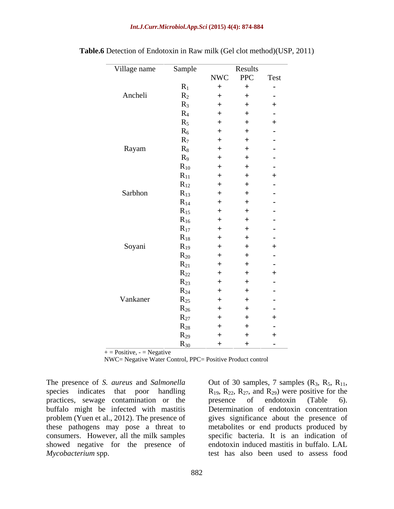#### *Int.J.Curr.Microbiol.App.Sci* **(2015) 4(4): 874-884**

| Village name | Sample   |             | Results | $\overline{\phantom{a}}$ |
|--------------|----------|-------------|---------|--------------------------|
|              |          | NWC PPC     |         | Test                     |
|              | $R_1$    | $+$         | $+$     | $\sim$ $ \sim$           |
| Ancheli      | $R_2$    | $\pm$       | $^{+}$  | $\sim$ $ \sim$           |
|              | $R_3$    | $\pm$       |         |                          |
|              | $R_4$    | $+$         |         |                          |
|              | $R_5$    | $^{+}$      |         |                          |
|              | $R_6$    | $^{+}$      |         | $\sim$                   |
|              | $R_7$    | $+$         |         | $\sim$                   |
| Rayam        | $R_8$    | $\mathbf +$ |         | $\sim$                   |
|              | $R_9$    | $^+$        |         | $\sim$                   |
|              | $R_{10}$ | $+$         |         |                          |
|              | $R_{11}$ | $^+$        |         |                          |
|              | $R_{12}$ | $\pm$       |         | $\sim$ 100 $\pm$         |
| Sarbhon      | $R_{13}$ | $^+$        |         | $\sim$                   |
|              | $R_{14}$ | $^+$        |         | $\sim$                   |
|              | $R_{15}$ | $^+$        |         | $\sim$                   |
|              | $R_{16}$ | $^{+}$      |         | $\sim$                   |
|              | $R_{17}$ | $^{+}$      |         | $\sim$ 100 $\pm$         |
|              | $R_{18}$ | $^+$        |         | $\sim$ 100 $\pm$         |
| Soyani       | $R_{19}$ |             |         |                          |
|              | $R_{20}$ | $^+$        |         |                          |
|              | $R_{21}$ | $^+$        |         |                          |
|              | $R_{22}$ | $^+$        |         |                          |
|              | $R_{23}$ | $^{+}$      |         | $\sim$ 100 $\pm$         |
|              | $R_{24}$ | $^+$        |         | $\sim$                   |
| Vankaner     | $R_{25}$ | -+          |         | $\sim$ 100 $\pm$         |
|              | $R_{26}$ | $^+$        |         | $\sim$                   |
|              | $R_{27}$ | $^+$        |         |                          |
|              | $R_{28}$ | $+$         |         | $\sim$                   |
|              | $R_{29}$ | $^+$        |         |                          |
|              | $R_{30}$ |             | $+$     | $\sim$ $ \sim$           |

**Table.6** Detection of Endotoxin in Raw milk (Gel clot method)(USP, 2011)

 $+$  = Positive,  $-$  = Negative

NWC= Negative Water Control, PPC= Positive Product control

The presence of *S. aureus* and *Salmonella* species indicates that poor handling  $R_{19}$ ,  $R_{22}$ ,  $R_{27}$ , and  $R_{29}$ ) were positive for the practices, sewage contamination or the presence of endotoxin (Table 6). buffalo might be infected with mastitis consumers. However, all the milk samples showed negative for the presence of *Mycobacterium* spp. test has also been used to assess food

problem (Yuen et al., 2012). The presence of gives significance about the presence of these pathogens may pose a threat to metabolites or end products produced by Out of 30 samples, 7 samples  $(R_3, R_5, R_{11}, R_{19}, R_{22}, R_{27}$ , and  $R_{29}$ ) were positive for the presence of endotoxin (Table 6). Determination of endotoxin concentration specific bacteria. It is an indication of endotoxin induced mastitis in buffalo. LAL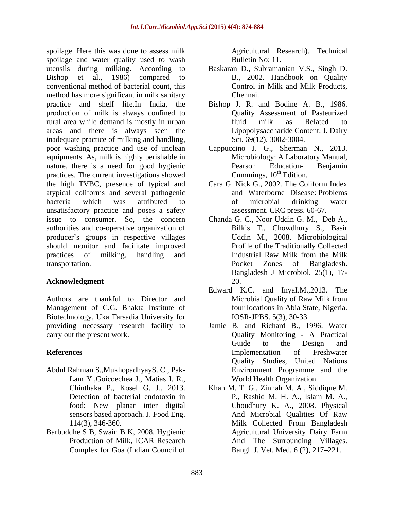spoilage. Here this was done to assess milk spoilage and water quality used to wash utensils during milking. According to Baskaran D., Subramanian V.S., Singh D. Bishop et al., 1986) compared to B., 2002. Handbook on Quality conventional method of bacterial count, this method has more significant in milk sanitary Chennai. practice and shelf life.In India, the Bishop J. R. and Bodine A. B.,1986. production of milk is always confined to rural area while demand is mostly in urban areas and there is always seen the inadequate practice of milking and handling, poor washing practice and use of unclean Cappuccino J. G., Sherman N., 2013. equipments. As, milk is highly perishable in nature, there is a need for good hygienic Pearson Education- Benjamin practices. The current investigations showed the high TVBC, presence of typical and Cara G. Nick G., 2002. The Coliform Index atypical coliforms and several pathogenic bacteria which was attributed to unsatisfactory practice and poses a safety issue to consumer. So, the concern Chanda G. C., Noor Uddin G. M., Deb A., authorities and co-operative organization of producer's groups in respective villages should monitor and facilitate improved practices of milking, handling and transportation. Pocket Zones of Bangladesh.

### Acknowledgment 20.

Authors are thankful to Director and Microbial Quality of Raw Milk from Management of C.G. Bhakta Institute of Biotechnology, Uka Tarsadia University for providing necessary research facility to Jamie B. and Richard B., 1996. Water

- Abdul Rahman S.,MukhopadhyayS. C., Pak- Lam Y.,Goicoechea J., Matias I. R., World Health Organization.<br>Chinthaka P., Kosel G. J., 2013. Khan M. T. G., Zinnah M. A., Siddique M.<br>Detection of bacterial endotoxin in P., Rashid M. H. A., Islam M. A.,
- Barbuddhe S B, Swain B K, 2008. Hygienic Complex for Goa (Indian Council of

Agricultural Research). Technical Bulletin No: 11.

- Control in Milk and Milk Products, Chennai.
- Quality Assessment of Pasteurized fluid milk as Related to Lipopolysaccharide Content. J. Dairy Sci. 69(12), 3002-3004.
- Microbiology: A Laboratory Manual, Pearson Education- Benjamin Cummings,  $10^{th}$  Edition.
- and Waterborne Disease: Problems of microbial drinking water assessment. CRC press. 60-67.
- Bilkis T., Chowdhury S., Basir Uddin M., 2008. Microbiological Profile of the Traditionally Collected Industrial Raw Milk from the Milk Bangladesh J Microbiol. 25(1), 17-<br>20.
- Edward K.C. and InyaI.M.,2013. The Microbial Quality of Raw Milk from four locations in Abia State, Nigeria. IOSR-JPBS. 5(3), 30-33.
- carry out the present work. Quality Monitoring A Practical **References Exercise Exercise Exercise Exercise Exercise Exercise Exercise Exercise Exercise Exercise Exercise** Guide to the Design and Implementation of Freshwater Quality Studies, United Nations Environment Programme and the World Health Organization.
	- food: New planar inter digital Choudhury K. A., 2008. Physical sensors based approach. J. Food Eng. And Microbial Qualities Of Raw<br>114(3), 346-360. Milk Collected From Bangladesh Production of Milk, ICAR Research And The Surrounding Villages. Khan M. T. G., Zinnah M. A., Siddique M. P., Rashid M. H. A., Islam M. A., And Microbial Qualities Of Raw Milk Collected From Bangladesh Agricultural University Dairy Farm Bangl. J. Vet. Med. 6 (2), 217–221.